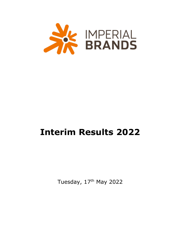

# **Interim Results 2022**

Tuesday, 17<sup>th</sup> May 2022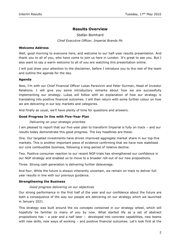# **Results Overview**

Stefan Bomhard *Chief Executive Officer, Imperial Brands Plc*

## **Welcome Address**

Well, good morning to everyone here, and welcome to our half-year results presentation. And thank you to all of you, who have come to join us here in London. It's great to see you. But I also want to say a warm welcome to all of you are watching this presentation online.

I will just draw your attention to the disclaimer, before I introduce you to the rest of the team and outline the agenda for the day.

# **Agenda**

Now, I'm with our Chief Financial Officer Lukas Paravicini and Peter Durman, Head of Investor Relations. I will give you some introductory remarks about how we are successfully implementing our strategy. Lukas will follow with an explanation of how our strategy is translating into positive financial outcomes. I will then return with some further colour on how we are delivering in our key markets and categories.

And finally as usual, we'll have plenty of time for questions and answers.

# **Good Progress In line with Five-Year Plan**

# *Delivering on your strategic priorities*

I am pleased to report that our five-year plan to transform Imperial is fully on track – and our results today demonstrate this good progress. The key headlines are these:

One. Our targeted investments have driven improved aggregate market share in our top-five markets. This is another important piece of evidence confirming that we have now stabilised our core combustible business, following a long-period of relative decline.

Two. Positive consumer reaction to our recent NGP trials has strengthened our confidence in our NGP strategy and enabled us to move to a broader roll-out of our new propositions.

Three. Strong cash generation is delivering further deleverage.

And four. While the future is always inherently uncertain, we remain on track to deliver fullyear results in line with our previous guidance.

#### **Strengthening the Business**

#### *Good progress delivering on our objectives*

Our strong performance in the first half of the year and our confidence about the future are both a consequence of the way our people are delivering on our strategy which we launched in January 2021.

This strategy was built around the six concepts contained in our strategy wheel, which will hopefully be familiar to many of you by now. What started life as a set of abstract propositions has – a year and a half later – developed into concrete capabilities, new teams with new skills, new ways of working – and positive financial outcomes. Let's look first at the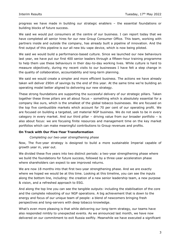progress we have made in building our strategic enablers – the essential foundations or building blocks of future success.

We said we would put consumers at the centre of our business. I can report today that we have completed all senior hires for our new Group Consumer Office. This team, working with partners inside and outside the company, has already built a pipeline of innovation. And the first output of this pipeline is our all new blu vape device, which is now being piloted.

We said we would build a performance-based culture. Since we launched our new behaviours last year, we have put our first 400 senior leaders through a fifteen-hour training programme to help them use these behaviours in their day-to-day working lives. While culture is hard to measure objectively, during my recent visits to our businesses I have felt a step change in the quality of collaboration, accountability and long-term planning.

We said we would create a simpler and more efficient business. The actions we have already taken will deliver £90m of savings by the end of this year. At the same time we're building an operating model better aligned to delivering our new strategy.

These strong foundations are supporting the successful delivery of our strategic pillars. Taken together these three pillars are all about focus – something which is absolutely essential for a company like ours, which is the smallest of the global tobacco businesses. We are focused on the top five combustible markets which account for 70 per cent of our operating profit. We are focused on building a targeted, yet material NGP business. We do not seek to be in every category in every market. And our third pillar – driving value from our broader portfolio – is also about focus: we are focusing finite resources and management time on the key market portfolios which can make meaningful contributions to Group revenues and profits.

#### **On Track with Our Five-Year Transformation**

#### *Completing our two-year strengthening phase*

Now, The five-year strategy is designed to build a more sustainable Imperial capable of growth year in, year out.

We divided these five years into two distinct periods: a two-year strengthening phase where we build the foundations for future success, followed by a three-year acceleration phase where shareholders can expect to see improved returns.

We are now 18 months into that first two-year strengthening phase. And we are exactly where we hoped we would be at this time. Looking at this timeline, you can see the inputs along the bottom line, including: the creation of a new senior leadership team, a new purpose & vision, and a refreshed approach to ESG.

And along the top line you can see the tangible outputs: including the stabilisation of the core and the complete rebooting of our NGP operations. A big achievement that is down to the energy and focus of our unique team of people: a blend of newcomers bringing fresh perspectives and long-servers with deep tobacco knowledge.

What's even more pleasing is that while delivering our long-term strategy, our teams have also responded nimbly to unexpected events. As we announced last month, we have now delivered on our commitment to exit Russia swiftly. Meanwhile we have executed a significant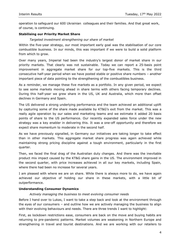operation to safeguard our 600 Ukrainian colleagues and their families. And that great work, of course, is continuing.

# **Stabilising our Priority Market Share**

#### *Targeted investment strengthening our share of market*

Within the five-year strategy, our most important early goal was the stabilisation of our core combustible business. In our minds, this was important if we were to build a solid platform from which to grow.

Over many years, Imperial had been the industry's largest donor of market share in our priority markets. That clearly was not sustainable. Today we can report a 25-basis point improvement in aggregate market share for our top-five markets. This is the third consecutive half-year period when we have posted stable or positive share numbers – another important piece of data pointing to the strengthening of the combustibles business.

As a reminder, we manage these five markets as a portfolio. In any given period, we expect to see some markets moving ahead in share terms with others facing temporary declines. During this half-year we grew share in the US, UK and Australia, which more than offset declines in Germany and Spain.

The US delivered a strong underlying performance and the team achieved an additional uplift by capturing some of the share made available by KT&G's exit from the market. This was a really agile operation by our sales and marketing teams and we estimate it added 20 basis points of share to the US performance. Our recently expanded sales force under the new strategy was a key enabler in delivering this. It was a one-off opportunity and therefore we expect share momentum to moderate in the second half.

As we have previously signalled, in Germany our initiatives are taking longer to take effect than in other markets. This aggregate market share progress was again achieved while maintaining strong pricing discipline against a tough environment, particularly in the first quarter.

Then, we faced the final drag of the Australian duty changes. And there was the inevitable product mix impact caused by the KT&G share gains in the US. The environment improved in the second quarter, with price increases achieved in all our key markets, including Spain, where there had been no increase for several years.

I am pleased with where we are on share. While there is always more to do, we have again achieved our objective of holding our share in these markets, with a little bit of outperformance.

### **Understanding Consumer Dynamics**

#### *Actively managing the business to meet evolving consumer needs*

Before I hand over to Lukas, I want to take a step back and look at the environment through the eyes of our consumers – and outline how we are actively managing the business to align with their evolving behaviours and needs. There are three trends I want to highlight:

First, as lockdown restrictions ease, consumers are back on the move and buying habits are returning to pre-pandemic patterns. Market volumes are weakening in Northern Europe and strengthening in travel and tourist destinations. And we are working with our retailers to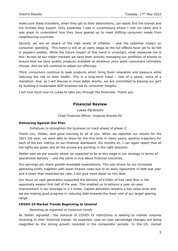make sure these travellers, when they get to their destinations, can easily find the brands and the formats they expect. Only yesterday I was in Luxembourg where I met our team and it was great to understand how they have geared up to meet shifting consumer needs from neighbouring countries.

Second, we are all aware of the high levels of inflation – and the potential impact on consumer spending. This trend is still at an early stage as the full effects have yet to be felt in people's wallets. While the future impact of this trend is uncertain, what reassures me is this: Across all our major markets we have been actively managing our portfolios of brands to ensure that we have quality products available at whatever price point consumers ultimately choose. And we will continue to adapt our offerings.

Third, consumers continue to seek products which bring them relaxation and pleasure while reducing the risk to their health. This is a long-term trend – less of a sprint, more of a marathon. And, as I will discuss in more detail shortly, we are committed to playing our part by building a sustainable NGP business led by consumer insights.

I will now hand over to Lukas to take you through the financials. Thank you.

# **Financial Review**

Lukas Paravicini *Chief Financial Officer, Imperial Brands Plc*

#### **Delivering Against Our Plan**

#### *Initiatives to strengthen the business on track ahead of phase 2*

Thank you, Stefan, and good morning to all of you. When we reported our results for the 2021 full year, we were able to show for the first time in many years, positive trajectory for each of the key metrics on our financial dashboard. Six months on, I can again report that all the lights are green and all the arrows are pointing in the right direction.

Stefan said we are exactly where we expected to be at this stage in our strategy in terms of operational delivery – and the same is true about financial outcomes.

Our earnings per share growth exceeded expectations. This was driven by our increased operating profit, together with lower finance costs due to an early repayment of debt last year and a lower than expected tax rate. I will give more detail on this later.

Our focus on cash generation supported the delivery of  $E336m$  of free cash flow in the seasonally weaker first half of the year. This enabled us to achieve a year-on-year improvement in our leverage to 2.4 times. Capital allocation remains a key value lever and we are making good progress in reducing debt towards the lower end of our target gearing range.

#### **COVID-19 Market Trends Beginning to Unwind**

#### *Reverting as expected to historical trends*

As Stefan signalled… the removal of COVID-19 restrictions is leading to market volumes reverting to their historical trends. As expected, year-on-year percentage changes are being magnified by the strong growth recorded in the comparator periods. In the US, market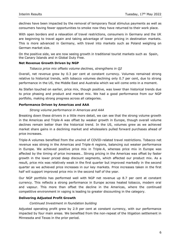declines have been impacted by the removal of temporary fiscal stimulus payments as well as consumers having fewer opportunities to smoke now they have returned to their work place.

With open borders and a relaxation of travel restrictions, consumers in Germany and the UK are beginning to travel again and taking advantage of lower pricing in destination markets. This is more advanced in Germany, with travel into markets such as Poland weighing on German market size.

On the positive side, we are now seeing growth in traditional tourist markets such as Spain, the Canary Islands and in Global Duty Free.

#### **Net Revenue Growth Driven by NGP**

#### *Tobacco price mix offsets volume declines, strengthens in Q2*

Overall, net revenue grew by 0.3 per cent at constant currency. Volumes remained strong relative to historical trends, with tobacco volumes declining only 0.7 per cent, due to strong performance in the US, the Middle East and Australia which we will come onto in a moment.

As Stefan touched on earlier, price mix, though positive, was lower than historical trends due to price phasing and product and market mix. We had a good performance from our NGP portfolio, making strong progress across all categories.

# **Performance Driven by Americas and AAA**

# *Strong volume performance in Americas and AAA*

Breaking down these drivers in a little more detail, we can see that the strong volume growth in the Americas and Triple-A was offset by weaker growth in Europe, though overall volume declines remain better than the historical trend. In the US, volumes grew as we achieved market share gains in a declining market and wholesalers pulled forward purchases ahead of price increases.

Triple-A volumes benefited from the unwind of COVID-related travel restrictions. Tobacco net revenue was strong in the Americas and Triple-A regions, balancing out weaker performance in Europe. We achieved positive price mix in Triple-A, whereas price mix in Europe was affected by the timing of price increases… Strong pricing in the Americas was offset by faster growth in the lower priced deep discount segments, which affected our product mix. As a result, price mix was relatively weak in the first quarter but improved markedly in the second quarter as we achieved price increases in our key markets. Price increases taken in the first half will support improved price mix in the second half of the year.

Our NGP portfolio has performed well with NGP net revenue up 8.7 per cent at constant currency. This reflects a strong performance in Europe across heated tobacco, modern oral and vapour. This more than offset the decline in the Americas, where the continued competitive environment in vaping is leading to greater discounting in the category.

#### **Delivering Adjusted Profit Growth**

# *Continued Investment in foundation building*

Adjusted operating profit grew by 2.9 per cent at constant currency, with our performance impacted by four main areas. We benefited from the non-repeat of the litigation settlement in Minnesota and Texas in the prior period.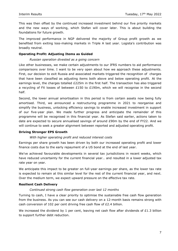This was then offset by the continued increased investment behind our five priority markets and the new ways of working, which Stefan will cover later. This is about building the foundations for future growth.

The improved performance in NGP delivered the majority of Group profit growth as we benefited from exiting loss-making markets in Triple A last year. Logista's contribution was broadly neutral.

#### **Operating Profit: Adjusting Items as Guided**

#### *Russian operation divested as a going concern*

Like other businesses, we make certain adjustments to our IFRS numbers to aid performance comparisons over time. I want to be very open about how we approach these adjustments. First, our decision to exit Russia and associated markets triggered the recognition of charges that have been classified as adjusting items both above and below operating profit. At the earnings level, the charges totalled £225m in the first half. The transaction has also triggered a recycling of FX losses of between £150 to £190m, which we will recognise in the second half.

Second, the lower annual amortisation in this period is from certain assets now being fully amortised. Third, we announced a restructuring programme in 2021 to reorganise and simplify the business, unlocking efficiency savings to enable increased investment in support of our five-year plan. We made further progress and anticipate the remainder of this programme will be recognised in this financial year. As Stefan said earlier, actions taken to date are expected to secure annualised savings of around £90m by the end of FY22. And we will continue to seek a greater alignment between reported and adjusted operating profit.

#### **Driving Stronger EPS Growth**

#### *With higher operating profit and reduced interest costs*

Earnings per share growth has been driven by both our increased operating profit and lower finance costs due to the early repayment of a US bond at the end of last year.

We've achieved favourable developments in several tax jurisdictions in recent weeks, which have reduced uncertainty for the current financial year… and resulted in a lower adjusted tax rate year on year.

We anticipate this impact to be greater on full-year earnings per share, as the lower tax rate is expected to remain at this similar level for the rest of the current financial year, and next. Over the medium term, we expect upward pressure on the effective tax rate.

#### **Resilient Cash Delivery**

#### *Continued strong cash flow generation over last 12 months*

Turning to cash, I have a clear priority to optimise the sustainable free cash flow generation from the business. As you can see our cash delivery on a 12-month basis remains strong with cash conversion of 102 per cent driving free cash flow of £2.4 billion.

We increased the dividend by 1 per cent, leaving net cash flow after dividends of £1.3 billion to support further debt reduction.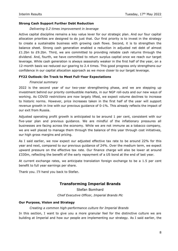## **Strong Cash Support Further Debt Reduction**

#### *Delivering 0.2 times improvement in leverage*

Active capital discipline remains a key value lever for our strategic plan. And our four capital allocation priorities are designed to do just that. Our first priority is to invest in the strategy to create a sustainable business with growing cash flows. Second, it is to strengthen the balance sheet. Strong cash generation enabled a reduction in adjusted net debt of almost £1.2bn to £9.2bn. Third, we are committed to providing reliable cash returns through the dividend. And, fourth, we have committed to return surplus capital once we reach our target leverage. While cash generation is always seasonally weaker in the first half of the year, on a 12-month basis we reduced our gearing to 2.4 times. This good progress only strengthens our confidence in our capital allocation approach as we move closer to our target leverage.

# **FY22 Outlook: On Track to Meet Full-Year Expectations**

#### *Financial summary*

2022 is the second year of our two-year strengthening phase, and we are stepping up investment behind our priority combustible markets, in our NGP roll-outs and our new ways of working. As COVID restrictions are now largely lifted, we expect volume declines to increase to historic norms. However, price increases taken in the first half of the year will support revenue growth in line with our previous guidance of 0-1%. This already reflects the impact of our exit from Russia.

Adjusted operating profit growth is anticipated to be around 1 per cent, consistent with our five-year plan and previous guidance. We are mindful of the inflationary pressures all businesses are facing across the economy. While we are not immune as a tobacco company, we are well placed to manage them through the balance of this year through cost initiatives, our high gross margins and pricing.

As I said earlier, we now expect our adjusted effective tax rate to be around 22% for this year and next, compared to our previous guidance of 24%. Over the medium term, we expect upward pressure on the effective tax rate. Our finance charge will also be lower at around £330m, reflecting the benefit of the early repayment of a US bond at the end of last year.

At current exchange rates, we anticipate translation foreign exchange to be a 1.5 per cent benefit to full year earnings per share.

Thank you. I'll hand you back to Stefan.

# **Transforming Imperial Brands**

Stefan Bomhard *Chief Executive Officer, Imperial Brands Plc*

#### **Our Purpose, Vision and Strategy**

#### *Creating a common high-performance culture for Imperial Brands*

In this section, I want to give you a more granular feel for the distinctive culture we are building at Imperial and how our people are implementing our strategy. As I said earlier, the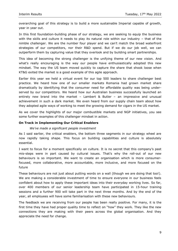overarching goal of this strategy is to build a more sustainable Imperial capable of growth, year in year out.

In this first foundation-building phase of our strategy, we are seeking to equip the business with the skills and culture it needs to play its natural role within our industry – that of the nimble challenger. We are the number four player and we can't match the broad waterfront strategies of our competitors, nor their R&D spend. But if we do our job well, we can outperform them by capturing value that they overlook and by building smart partnerships.

This idea of becoming the strong challenger is the unifying theme of our new vision. And what's really encouraging is the way our people have enthusiastically adopted this new mindset. The way the US team moved quickly to capture the share that shook loose when KT&G exited the market is a good example of this agile approach.

Earlier this year we held a virtual event for our top 500 leaders to share challenger best practice. We heard how one of our smaller markets Romania had grown market share dramatically by identifying that the consumer need for affordable quality was being underserved by our competitors. We heard how our Australian business successfully launched an entirely new brand into the market – Lambert & Butler – an impressive and unusual achievement in such a dark market. We even heard from our supply chain team about how they adopted agile ways of working to meet the growing demand for cigars in the US market.

As we cover the highlights of our major combustible markets and NGP initiatives, you see some further examples of this challenger mindset in action.

# **On Track in Implementing Our Critical Enablers**

#### *We've made a significant people investment*

As I said earlier, the critical enablers, the bottom three segments in our strategy wheel are now rapidly taking shape. This focus on building capabilities and culture is absolutely essential.

I want to focus for a moment specifically on culture. It is no secret that this company's past mis-steps were in part caused by cultural issues. That's why the roll-out of our new behaviours is so important. We want to create an organisation which is more consumerfocused, more collaborative, more accountable, more inclusive, and more focused on the future

These behaviours are not just about putting words on a wall (though we are doing that too!). We are making a considerable investment of time to ensure everyone in our business feels confident about how to apply these important ideas into their everyday working lives. So far, over 400 members of our senior leadership team have participated in 15-hour training sessions and a further 900 will take part in the next three months. And by the end of the year, all employees will have some familiarisation with these new behaviours.

The feedback we are receiving from our people has been really positive. For many, it is the first time they have had proper quality time to reflect on "how" they work. They like the new connections they are making with their peers across the global organisation. And they appreciate the need for change.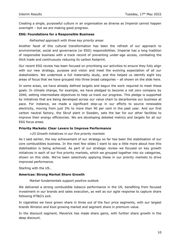Creating a single, purposeful culture in an organisation as diverse as Imperial cannot happen overnight – but we are making good progress.

# **ESG: Foundations for a Responsible Business**

#### *Refreshed approach with three key priority areas*

Another facet of this cultural transformation has been the refresh of our approach to environmental, social and governance (or ESG) responsibilities. Imperial has a long tradition of responsible business with a track record of preventing under-age access, combating the illicit trade and continuously reducing its carbon footprint.

Our recent ESG review has been focused on prioritising our activities to ensure they fully align with our new strategy, purpose and vision and meet the evolving expectation of all our stakeholders. We undertook a full materiality study, and this helped us identify eight key areas of focus that we have grouped into three broad categories – all shown on the slide here.

In some areas, we have already defined targets and begun the work required to meet these goals. In climate change, for example, we have pledged to become a net zero company by 2040, setting intermediate objectives to help us track our progress. This pledge is supported by initiatives that are being developed across our value chain to decarbonise our business at pace. For instance, we made a significant step-up in our efforts to source renewable electricity, moving from just 3% to more than 90 per cent in the past year. And our first carbon neutral factory, the Skruf plant in Sweden, sets the bar for our other facilities to improve their energy efficiencies. We are developing detailed metrics and targets for all our ESG focus areas.

#### **Priority Markets: Clear Levers to Improve Performance**

#### *>25 Growth initiatives in our five priority markets*

As I said earlier, the key achievement of our strategy so far has been the stabilisation of our core combustibles business. In the next few slides I want to say a little more about how this stabilisation is being achieved. As part of our strategic review we focused on key growth initiatives in each of our five priority markets, which we grouped together into six categories, shown on this slide. We've been selectively applying these in our priority markets to drive improved performance.

Starting with the US…

#### **Americas: Strong Market Share Growth**

#### *Market fundamentals support positive outlook*

We delivered a strong combustible tobacco performance in the US, benefiting from focused investment in our brands and sales execution, as well as our agile response to capture share following KT&G's exit.

In cigarettes we have grown share in three out of the four price segments, with our largest brands Winston and Kool growing market and segment share in premium value.

In the discount segment, Maverick has made share gains, with further share growth in the deep discount.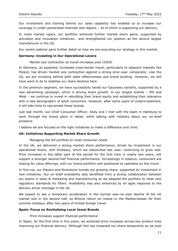Our investment and training behind our sales capability has enabled us to increase our coverage in under-penetrated channels and regions – all of which is supporting our delivery.

In mass market cigars, our portfolio achieved further market share gains, supported by activation and innovation initiatives… and strengthened our position as the second largest manufacturer in the US.

Our recent webinar gave further detail on how we are executing our strategy in this market.

#### **Germany: Investing in Our Operational Levers**

#### *Market size contraction as travel increases post COVID*

In Germany, as expected, increased cross-border travel, particularly to adjacent markets like Poland, has driven market size contraction against a strong prior-year comparator. Like the US, we are investing behind both sales effectiveness and brand building. However, we still have work to do to stabilise our share declines here.

In the premium segment, we have successfully tiered our Gauloises variants, supported by a new advertising campaign, which is driving share growth. In our largest brands – JPS and West – we continue to invest in rebuilding their brand equity and establishing their relevance with a new demographic of adult consumers. However, after some years of underinvestment, it will take time to rejuvenate these brands.

Just last month, our Chief Consumer Officer, Andy and I met with the team in Hamburg to work through the brand plans in detail, while talking with retailers about our on-shelf presence.

I believe we are focused on the right initiatives to make a difference over time.

#### **UK: Initiatives Supporting Market Share Growth**

#### *Managing the full portfolio to meet consumer needs*

In the UK, we delivered a strong market share performance, driven by investment in our operational levers, with Embassy, which we relaunched last year, continuing to grow well. Price increases in the latter part of the period for the first time in nearly two years, will support a stronger second-half financial performance. Increasingly in tobacco, consumers are looking for value offerings, with our brand portfolio well positioned to capitalise on this trend.

In fine-cut, our Players and Riverstone brands are growing share, supported by investment in new initiatives. Our on-shelf availability also benefited from a strong collaboration between our teams in sales & marketing and manufacturing as we adapted the portfolio to meet new regulatory standards for filters. Availability was also enhanced by an agile response to the delivery driver shortage in the UK.

We expect to see a temporary acceleration in the normal year-on-year decline of the UK market size in the second half, as Britons return en masse to the Mediterranean for their summer holidays, after two years of limited foreign travel.

#### **Spain: Focus on Revitalising Local Jewel Brands**

#### *Price increases support financial performance*

In Spain, for the first time in five years, we achieved price increases across key product lines improving our financial delivery. Although this has impacted our share temporarily as we took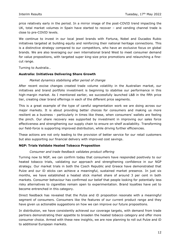price relatively early in the period. In a mirror image of the post-COVID trend impacting the UK, total market volumes in Spain have started to recover – and vending channel trade is close to pre-COVID levels.

We continue to invest in our local jewel brands with Fortuna, Nobel and Ducados Rubio initiatives targeted at building equity and reinforcing their national heritage connections. This is a distinctive strategy compared to our competitors, who have an exclusive focus on global brands. We are also leveraging our own international brand West to meet consumer demand for value propositions, with targeted super king-size price promotions and relaunching a finecut range.

Turning to Australia…

#### **Australia: Initiatives Delivering Share Growth**

#### *Market dynamics stabilising after period of change*

After recent excise changes created trade volume volatility in the Australian market, our initiatives and brand portfolio investment is beginning to stabilise our performance in this high-margin market. As I mentioned earlier, we successfully launched L&B in the fifth price tier, creating clear brand offerings in each of the different price segments.

This is a great example of the type of careful segmentation work we are doing across our major markets. It is about providing better choices for consumers and making us more resilient as a business - particularly in times like these, when consumers' wallets are feeling the pinch. Our share recovery was supported by investment in improving our sales force effectiveness and strengthening our supply chain to ensure on-shelf availability. Transforming our field-force is supporting improved distribution, while driving further efficiencies.

These actions are not only leading to the provision of better service for our retail customers but also supporting our financial delivery with improved cost savings.

#### **NGP: Trials Validate Heated Tobacco Proposition**

#### *Consumer and trade feedback validates product offering*

Turning now to NGP, we can confirm today that consumers have responded positively to our heated tobacco trials, validating our approach and strengthening confidence in our NGP strategy. Our market trials in both the Czech Republic and Greece have demonstrated that Pulze and our iD sticks can achieve a meaningful, sustained market presence. In just six months, we have established a heated stick market share of around 3 per cent in both markets. Consumer behaviour has confirmed our belief that people looking for potentially less risky alternatives to cigarettes remain open to experimentation. Brand loyalties have yet to become entrenched in this category.

Direct feedback has revealed that the Pulze and iD proposition resonate with a meaningful segment of consumers. Consumers like the features of our current product range and they have given us actionable suggestions on how we can improve our future propositions.

In distribution, we have consistently achieved our coverage targets, with demand from trade partners demonstrating their appetite to broaden the heated tobacco category and offer more consumer choice. Armed with these new insights, we are now planning to roll out Pulze and iD to additional European markets.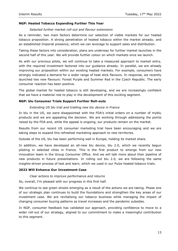# **NGP: Heated Tobacco Expanding Further This Year**

#### *Selected further market roll-out and flavour extensions*

As a reminder, two main factors determine our selection of viable markets for our heated tobacco proposition. A strong penetration of heated tobacco within the market already; and an established Imperial presence, which we can leverage to support sales and distribution.

Taking these factors into consideration, plans are underway for further market launches in the second half of this year. We will provide further colour on which markets once we launch.

As with our previous pilots, we will continue to take a measured approach to market entry, with the required investment factored into our guidance already. In parallel, we are already improving our proposition within our existing heated markets. For example, consumers have strongly indicated a demand for a wider range of heat stick flavours. In response, we recently launched two new flavours: Forest Purple and Summer Red in the Czech Republic. The early consumer reaction has been positive.

The global market for heated tobacco is still developing, and we are increasingly confident that we have a material role to play in the development of this exciting segment.

# **NGP: blu Consumer Trials Support Further Roll-outs**

#### *Extending US blu trial and trialling new blu device in France*

In blu in the US, we were disappointed with the FDA's initial orders on a number of myblu products and we are appealing the decision. We are working through addressing the points raised by the FDA and, while the appeal is ongoing, our products remain on the market.

Results from our recent US consumer marketing trial have been encouraging and we are taking steps to expand this refreshed marketing approach to new territories.

Outside of the US, blu has been performing well in Europe, holding its market share.

In addition, we have developed an all-new blu device, blu 2.0, which we recently begun piloting in selected cities in France. This is the first product to emerge from our new innovation team in the Group Consumer Office. And we will talk more about their pipeline of new products in future presentations. In rolling out blu 2.0, we are following the same insights-driven process of test and learn, which we used in our Pulze heated tobacco trials.

#### **2022 Will Enhance Our Investment Case**

#### *Clear actions to improve performance and returns*

So, overall, I'm pleased with our progress in this first half.

We continue to see green shoots emerging as a result of the actions we are taking. Phase one of our strategic plan continues to build the foundations and strengthen the key areas of our investment case. We are revitalising our tobacco business while managing the impact of changing consumer buying patterns as travel increases and the pandemic subsides.

In NGP, consumer feedback has validated our approach, providing confidence to move to a wider roll-out of our strategy, aligned to our commitment to make a meaningful contribution to this segment.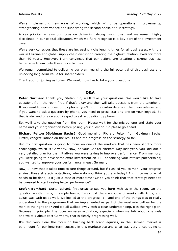We're implementing new ways of working, which will drive operational improvements, strengthening performance and supporting the second phase of our strategy.

A key priority remains our focus on delivering strong cash flows, and we remain highly disciplined in our capital allocation, which we fully recognise is a key part of the investment case.

We're very conscious that these are increasingly challenging times for all businesses, with the war in Ukraine and global supply chain disruption creating the highest inflation levels for more than 40 years. However, I am convinced that our actions are creating a strong business better able to navigate these uncertainties.

We remain committed to delivering our plan, realising the full potential of this business and unlocking long-term value for shareholders.

Thank you for joining us today. We would now like to take your questions.

# **Q&A**

**Peter Durman:** Thank you, Stefan. So, we'll take your questions. We would like to take questions from the room first, if that's okay and then will take questions from the telephone. If you want to ask a question by phone, you'll find the dial-in details in the press release, and if you want to ask a question by phone, you need to press star and one on your keypad. So that is star and one on your keypad to ask a question by phone.

So, we'll take the question from the room. Please wait for the microphone and state your name and your organisation before posing your question. So please go ahead.

**Richard Felton (Goldman Sachs):** Good morning. Richard Felton from Goldman Sachs. Firstly, congratulations on the results and the progress on the strategy so far.

But my first question is going to focus on one of the markets that has been slightly more challenging, which is Germany. Now, at your Capital Markets Day last year, you laid out a very detailed plan for the initiatives you were taking to improve performance. From memory, you were going to have some extra investment on JPS, enhancing your retailer partnerships; you wanted to improve your performance in east Germany.

Now, I know that it takes time to turn things around, but if I asked you to mark your progress against those strategic objectives, where do you think you are today? And in terms of what needs to be done, is it just a case of more time? Or do you think that that strategy needs to be tweaked to start seeing better performance?

**Stefan Bomhard:** Sure. Richard, first great to see you here with us in the room. On the question on Germany, in simple terms, I was just there a couple of weeks with Andy, and Lukas was with us as well. We looked at the progress. I – and one of the things was to really understand, is the programme that we implemented as part of the must-win battles for the market the right one? And we all walked away with a clear understanding, it is the right plan. Because in principle, the focus on sales activation, especially when we talk about channels and we talk about East Germany, that is clearly progressing well.

It's also very clear the focus on building back brand equities, in the German market is paramount for our long-term success in this marketplace and what was very encouraging to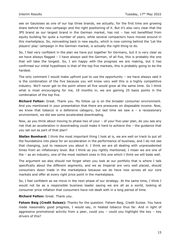see on Gauloises as one of our top three brands, we actually, for the first time are growing share behind the new campaign and the right positioning of it. But it's also very clear that the JPS brand as our largest brand in the German market, has not – has not benefitted from equity building for quite a number of years, while several compactors have moved around in this marketplace. So, reinvesting back in new equity, which is now coming behind the 'Let the players' play' campaign in the German market, is actually the right thing to do.

So, I feel very confident in the plan we have put together for Germany, but it is very clear as we have always flagged – I have always said the German, of all five, this is probably the one that will take the longest. So, I am happy with the progress we are making, but it has confirmed our initial hypothesis is that of the top five markets, this is probably going to be the hardest.

The only comment I would make upfront just to use the opportunity – we have always said it is the combination of the five because you will know very well this is a highly competitive industry. We'll never get to the point where all five would grow at the same time. So I think what is most encouraging for me, 18 months in, we are gaining 25 basis points in the combination of the top five.

**Richard Felton:** Great. Thank you. My follow up is on the broader consumer environment. And you mentioned in your presentation that there are pressures on disposable income. Now, we know that tobacco is a defensive category, but last time we saw  $a - a$  recessionary environment, we did see some accelerated downtrading.

Now, as you think about moving to phase two of your – of your five-year plan, do you see any risk that an acceleration in downtrading could make it hard to achieve the – the guidance that you set out as part of that plan?

**Stefan Bomhard:** I think the most important thing I look at is, we are well on track to put all the foundations into place for an acceleration in the performance of business, and I do not see that changing, just to reassure you about it. I think we are all dealing with unprecedented times from an inflationary level. But I think as you rightly mentioned, I mean we are one of the – as an industry, one of the most resilient ones in this one which I think we will bode well.

The argument we also should not forget when you look at our portfolio that is where I talk specifically about the different segments, and we as Imperial are very well placed, should consumers down trade in the marketplace because we do have now across all our core markets and offer at every right price point in the marketplace.

So, I feel confident as we move in the next phase of our strategy. At the same time, I think I would not be as a responsible business leader saying we are all as a world, looking at consumer price inflation that consumers have not dealt with in a long period of time.

#### **Richard Felton:** Great. Thank you.

**Faham Baig (Credit Suisse):** Thanks for the question. Faham Baig, Credit Suisse. You have made reasonably good progress, I would say, in heated tobacco thus far. And in light of aggressive promotional activity from a peer, could you – could you highlight the key – key drivers of this?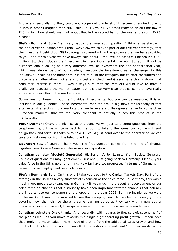And – and secondly, to that, could you scope out the level of investment required to – to launch in other European markets. I think in H1, your NGP losses reached an all-time low of £40 million. How should we think about that in the second half of the year and also in FY23, please?

**Stefan Bomhard:** Sure. I am very happy to answer your question. I think let us start with the end of year question first. I think we've always said, as part of our five-year strategy, that the investment behind our NGP strategy is covered within the guidance that we have provided to you, and for this year we have always said about  $-$  the level of losses will be around £140 million. So, this includes the investment in these incremental markets. So, you will not be surprised about looking at a very different level of investment the end of this fiscal year, which was always part of our strategy; responsible investment as a challenger in this industry. Our role as the number four is not to build the category, but to offer consumers and customers an alternative choice, and our test and check and Greece have clearly shown that consumer interest is there. I was always sure that the retailers would love to have a challenger, especially the market leader, but it is also very clear that consumers have really appreciated our offer in the marketplace.

So we are not breaking out the individual investments, but you can be reassured it is all included in our guidance. These incremental markets are—a big news for us today is that after extensive testing in two markets that we believe are quite representative for some other European markets, that we feel very confident to actually launch this product in the marketplace.

**Peter Durman:** Okay. I think – so at this point we will just take some questions from the telephone line, but we will come back to the room to take further questions, so we will, sort of, go back and forth, if that's okay? So if I could just hand over to the operator so we can take our first question from the telephone line.

**Operator:** Yes, of course. Thank you. The first question comes from the line of Thomas Liginton from Société Générale. Please ask your question.

**Jonathan Leinster (Société Générale):** Hi. Sorry, it's Jon Leinster from Société Générale. Couple of questions if I may, gentlemen? First one, just going back to Germany. Clearly, your sales force in the US is up and running. How far have we progressed in terms of Germany, in terms of actual deployment versus training?

**Stefan Bomhard:** Sure. On this one I take you back to the Capital Markets Day. Part of the strategy in the US was a very substantial expansion of the sales force. In Germany, this was a much more moderate expansion; in Germany it was much more about a redeployment of our sales force on channels that historically have been important towards channels that actually are important to our consumers and shoppers in the year 2022. So, in principle, as we were in the market, I was quite satisfied to see that redeployment. To be clear, suddenly you are covering new channels, so there is some learning curve as they talk with a new set of customers, so – but, overall, I am quite pleased with the progress we have made here.

**Jonathan Leinster:** Okay, thanks. And, secondly, with regards to the, sort of, second half of the plan as we – as you move towards mid-single-digit operating profit growth, I mean does that imply  $-$  I mean sales  $-$  how much of that is from the additional sales growth and how much of that is from the, sort of, run off of the additional investment? In other words, is the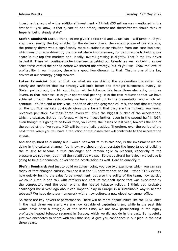investment a, sort of  $-$  the additional investment  $-$  I think £35 million was mentioned in the first half – you know, is that a, sort of, one-off adjustment and thereafter we should think of Imperial being steady state?

**Stefan Bomhard:** Sure. I think, let me give it a first trial and Lukas can – will jump in. If you step back, reality the key enabler for the delivery phase, the second phase of our strategy, the primary driver was a significantly more sustainable contribution from our core business, which was primarily driven by the market share improvement, for us to return to holding our share in our top five markets and, ideally, overall growing it slightly. That is the key driver behind it. There will continue to be investments behind our brands, as well as behind as our sales force versus the period before we started the strategy, but as you well know the level of profitability in our industry, there is a good flow-through to that. That is one of the key drivers of our strategy going forward.

**Lukas Paravicini:** Just on that, on what we see driving the acceleration thereafter. We clearly are confident that our strategy will build better and stronger businesses. Mainly, as Stefan pointed out, the big contributor will be tobacco. We have three elements, or three levers, in that business: it is your operational gearing; it is the cost reductions that we have achieved through the restructuring we have pointed out in the presentation and which will continue until the end of this year; and then also the geographical mix, the fact that we focus on the top five markets obviously gives us a benefit that they are the highest, you know, revenues per stick. So these three levers will drive the biggest bucket of the acceleration, which is tobacco. But do not forget, while we invest further, even in the second half in NGP, even though it is going to be lower than, you know, the losses of last year, towards the end of the period of the five years, NGP will be marginally positive. Therefore, over the period of the next three years you will have a reduction of the losses that will contribute to the acceleration phase.

And finally, hard to quantify but I would not want to miss this one, is the investment we are doing in the cultural change. You know, we should not understate the importance of building the muscle to become a true challenger and remain agile to respond, especially to the pressure we see now, but in all the volatilities we see. So that cultural behaviour we believe is going to be a fundamental driver for the acceleration as well. Hard to quantify it.

**Stefan Bomhard:** And just to build on Lukas' point, you use two examples which you can see today of that changed culture. You see it in the US performance behind – when KT&G exited, how quickly behind the sales force investment, but also the agility of the team, how quickly we could jump in and talk with retailers and capture the shelf space that was evacuated by the competitor. And the other one is the heated tobacco rollout. I think you probably challenged me a year ago about can Imperial play in Europe in a sustainable way in heated tobacco? We have done our homework with a new culture, a new global consumer office.

So these are key drivers of performance. There will be more opportunities like the KT&G ones in the next three years and we are now capable of capturing them, while in the past this would have been a struggle. At the same time, we are now participating in the highly profitable heated tobacco segment in Europe, which we did not do in the past. So hopefully just two anecdotes to share with you that should give you confidence in our plan in the next three years.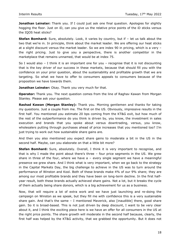**Jonathan Leinster:** Thank you. If I could just ask one final question. Apologies for slightly hogging the floor. Just on iD, can you give us the relative price points of the iD sticks versus the IQOS heat sticks?

**Stefan Bomhard:** Sure, absolutely. Look, it varies by country, but if – let us talk about the two that we're in. In principle, think about the market leader. We are offering our heat sticks at a slight discount versus the market leader. So we are index 90 in pricing, which is a very – the right pricing. Just to give you a perspective, there is another competitor in the marketplace that remains unnamed, that would be at index 75.

So I would also – I think it is an important one for you – recognise that it is not discounting that is the key driver of our success in these markets, because that should fill you with the confidence on your prior question, about the sustainability and profitable growth that we are targeting. So what we have to offer to consumers appeals to consumers because of the proposition we have towards them.

**Jonathan Leinster:** Okay. Thank you very much for that.

**Operator:** Thank you. The next question comes from the line of Raghav Kawan from Morgan Stanley. Please ask your question.

**Rashad Kawan (Morgan Stanley):** Thank you. Morning gentlemen and thanks for taking my questions. Just a couple from me. The first on the US. Obviously, impressive results in the first half. You mentioned you estimate 20 bps coming from the KT&G exit, but how much of the rest of the outperformance do you think is driven by, you know, the investment in sales execution and brands that you spoke about versus downtrading, versus, you know, wholesalers putting through purchases ahead of price increases that you mentioned too? I'm just trying to work out how sustainable share gains are.

And then you also mentioned you expect share gains to moderate a bit in the US in the second half. Maybe, can you elaborate on that a little bit more?

**Stefan Bomhard:** Sure, absolutely. Overall, I think it is very important to recognise, and that is why I made the point about there's three – four price segments in the US. We grew share in three of the four, where we have  $a -$  every single segment we have a meaningful presence we grew share. And I think what is very important, when we go back to the strategy in the Capital Markets Day, the big challenge to achieve in the US was to turn around the performance of Winston and Kool. Both of these brands make 4% of our 9% share; they are among our most profitable brands and they have been on long-term decline. In the first halfyear result, both these brands actually achieved share gains. Not a lot, but it breaks the cycle of them actually being share donors, which is a big achievement for us as a business.

Now, that will require a lot of extra work and we have just launching and re-doing the campaign on Winston as we speak, but they fill me with confidence this is a very sustainable share gain. And that's the same – I mentioned Maverick, also [inaudible] there, good share gain. So it is broad-based. This is not just driven by deep discount, I want to be very clear about it, and I think the exciting piece here is we have an offer for all consumers in the US at the right price points. The share growth will moderate in the second half because, clearly, the first half was helped by the KT&G activity, that we grabbed the opportunity. But it does not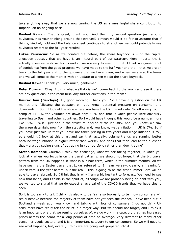take anything away that we are now turning the US as a meaningful share contributor to Imperial on an ongoing basis.

**Rashad Kawan:** That is great, thank you. And then my second question just around buybacks. Has your thinking around that evolved? I mean would it be fair to assume that if things, kind of, hold and the balance sheet continues to strengthen we could potentially see buybacks restart at the full-year results?

**Lukas Paravicini:** So as we pointed out before, the share buyback is – or the capital allocation strategy that we have is an integral part of our strategy. More importantly, is actually a key value driver for us and so we are very focused on that. I think we gained a lot of confidence from the good progress we have made to the half-year and the – that we are on track to the full year and to the guidance that we have given, and when we are at the lower end we will come to the market with an update to when we do the share buyback.

**Rashad Kawan:** Thank you very much, gentlemen.

**Peter Durman:** Okay. I think what we'll do is we'll come back to the room and see if there are any questions in the room first. Any further questions in the room?

**Gaurav Jain (Barclays):** Hi, good morning. Thank you. So I have a question on the UK market and following the question on, you know, potential pressure on consumer and downtrading. So if I look at the slide where you have the UK market data. So off a very tough comp of 11.3%, the volumes are down only 3.5% and that is when people were obviously travelling to Spain and other countries. So I would have thought this would be a number more like -8%, -9% if I just add in the structural decline of the industry. And, you know, we saw the wage data right now from the statistics and, you know, wage inflation in UK is 7%. So if you have just told us that you have not taken pricing in two years and wage inflation is 7%, so shouldn't I look at this chart and say that, actually, volume trends are running better because wage inflation is higher rather than worse? And does that then lead to the question that – are you seeing signs of uptrading in your portfolio rather than downtrading?

**Stefan Bomhard:** Gaurav, I think the challenge, what we are facing together, is when you look at – when you focus in on the travel patterns. We should not forget that the big travel pattern from the UK happens in what is our half-term, which is the summer months. All we have seen is the Easter travel that Lukas referred to. I mean we saw, clearly, a meaningful uptick versus the year before, but the real – this is going to be the first summer Brits will be able to travel abroad. So I think that is why I am a bit hesitant to forecast. We need to see how that lands, and I think, in the spirit of, although we are probably being prudent with you, we wanted to signal that we do expect a reversal of the COVID trends that we have clearly seen.

So it is too early to tell. I think it's also – to be fair, also too early to tell how consumers will really behave because the majority of them have not yet seen the impact. I have been out in Scotland a week ago, you know, and talking with lots of consumers. I do not think UK consumers have really felt the brunt in a major way. But we should not forget, and I think it is an important one that we remind ourselves of, we do work in a category that has increased prices across the board for a long period of time on average. Very different to many other consumer goods sectors, and it is an important category to our consumers. So we will need to see what happens, but, overall, I think we are going well-prepared into it.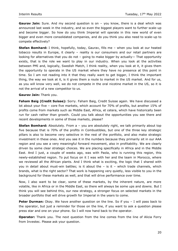**Gaurav Jain:** Sure. And my second question is on – you know, there is a deal which was announced last week in the industry, and so even the biggest players want to further scale-up and become bigger. So how do you think Imperial will operate in this new world of even bigger and even more consolidated companies, and do you think you also need to scale-up to compete effectively?

**Stefan Bomhard:** I think, hopefully, today, Gaurav, fills me – when you look at our heated tobacco results in Europe, it clearly – reality is our consumers and our retail partners are looking for alternatives that you do not – going to make bigger by actually— That opportunity exists, that is the role we want to play in our industry. When you look at the activities between PMI and, logically, Swedish Match, I think reality, when you look at it, it gives them the opportunity to operate in the US market where they have no presence at this point in time. So I am not reading into it that they really want to get bigger, I think the important thing, the way we look at it, is it gives them a route to market in the US market. And for us, as you will know very well, we do not compete in the oral nicotine market in the US, so it is not the arrival of a new competitor to us.

#### **Gaurav Jain:** Thank you.

**Faham Baig (Credit Suisse):** Sorry. Faham Baig, Credit Suisse again. We have discussed a lot about your five – core five markets, which account for 70% of profits, but another 15% of profits come from markets such as Middle East, Africa, et cetera, which have historically been run for cash rather than growth. Could you talk about the opportunities you see there and recent developments in some of those markets, please?

**Stefan Bomhard:** Absolutely. From a - you are absolutely right, we talk primarily about top five because that is 70% of the profits in Combustibles, but one of the three key strategic pillars is also to become very selective in the rest of the portfolio, and also make strategic investment in these ones. And you see it in the numbers because they primarily sit in our AAA region and you see a very meaningful forward movement, also in profitability. We are clearly driven by some clear strategic choices. We are placing specifically in Africa and in the Middle East. And I just, a couple of weeks ago, was with Paola, who is running this region, this newly-established region. To put focus on it I was with her and the team in Morocco, where we reviewed all the African plants. And I think what is exciting, the logic that I shared with you in detail about must-win battles; is it about the – is it – which trade channels, which brands, what is the right sector? That work is happening very quietly, less visible to you in the background for these markets as well, and that will drive performance over time.

Now, I also want to be clear, some of these markets, by the inherent nature, are more volatile, like in Africa or in the Middle East, so there will always be some ups and downs. But I think you will see behind this, our new strategy, a stronger focus on selected markets in the broader portfolio that will drive growth for Imperial in the years to come.

**Peter Durman:** Okay. We have another question on the line. So if you - I will pass back to the operator, but just a reminder for those on the line, if you want to ask a question please press star and one on your phone. So I will now hand back to the operator.

**Operator:** Thank you. The next question from the line comes from the line of Alicia Forry from Investec. Please ask your question.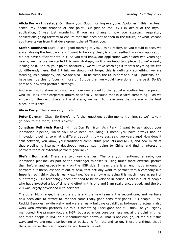**Alicia Forry (Investec):** Oh, thank you. Good morning everyone. Apologies if this has been asked, my phone dropped at one point. But just on the US FDA denial of the myblu application, I was just wondering if you are changing how you approach regulatory applications going forward to ensure that this does not happen in the future, or what lessons you have taken from that development there? Thank you.

**Stefan Bomhard:** Sure. Alicia, good morning to you. I think reality, as you would expect, we are analysing the feedback, and I want to be very clear, is – the feedback was our application did not have sufficient data in it. As you well know, our application was fielded two years ago nearly, well before we started this new strategy, so it is an important piece. So we're really looking at it. And to your point, absolutely, we will take learnings if there's anything we can do differently here. But I think we should not forget this is definitely something we are focusing, as a company, on. We are also – to be clear, the US is part of our NGP portfolio. You have seen us clearly focusing more on Europe than we would have done in the past. So it's part of our overall portfolio strategy.

And also just to share with you, we have now added to the global executive team a person who will look after corporate affairs specifically, because that is clearly something - as we embark on the next phase of the strategy, we want to make sure that we are in the best place in this area.

**Alicia Forry:** Thank you very much.

**Peter Durman:** Okay. So there's no further questions at the moment online, so we'll take go back to the room, if that's okay?

**Jonathan Fell (Ash Park):** Hi, it's Jon Fell from Ash Park. I want to ask about your innovation pipeline, which you have been rebuilding. I mean you have always had an innovation pipeline, so what is different about it now versus, say, two years ago? How does it split between, you know, your traditional combustible products and NGPs, and how much of that pipeline is internally developed versus, say, going to China and finding interesting partners there or external partners generally?

**Stefan Bomhard:** There are two key changes. The one you mentioned already, our innovation pipeline, as part of the challenger mindset is using much more external parties than before, and especially in – on the NGP side. I mean there is an enormous amount of partners out there, especially out of Asia, that actually want to partner with a company like Imperial, so I think that is really exciting. We are now embracing this much more as part of our strategy. Our technology does not need to be developed in-house. There is a lot of people who have invested a lot of time and effort in this one and I am really encouraged, and the blu 2.0 was largely developed with partners.

The other big change, the partners one and the new team is the second one, and we have now been able to attract to Imperial some really good consumer goods R&D people, – ex-Reckitt Benckies, ex-Henkel – and we are really building capabilities in-house to actually also work with external partners. So this is something I feel good about. I think, as you rightly mentioned, the primary focus is NGP, but also in our core business we, at the point in time, had three people in R&D on our combustibles portfolio. That is not enough, let me put it this way, and we are now also looking at packaging formats and so on. These are things that I think will drive the brand equity for our brands as well.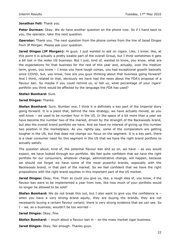#### **Jonathan Fell:** Thank you.

**Peter Durman:** Okay. We do have another question on the phone now. So if I hand back to you, the operator, take this next question.

**Operator:** Thank you. The next question from the phone comes from the line of Jared Dinges from JP Morgan. Please ask your question.

**Jared Dinges (JP Morgan):** Hi guys. I just wanted to ask on cigars. Like, I know, like, at this point it is actually a pretty sizable part of the overall Group, but I think sometimes it gets a bit lost in the wider US business. But I just, kind of, wanted to know, you know, what are the expectations for that business for the rest of this year and, actually, over the medium term, given, you know – I know you have tough comps, you had exceptional growth basically since COVID, but, you know, how are you guys thinking about that business going forward? And I think, related to that, obviously we have had the news about the FDA's proposal of a flavour ban. So maybe if you could remind us, or tell us, what percentage of your cigars' portfolio you think would be affected by the language the FDA has used?

#### **Stefan Bomhard:** Sure.

#### **Jared Dinges:** Thanks.

**Stefan Bomhard:** Sure. Number one, I think it is definitely a key part of the Imperial story going forward. It is a piece that, behind the new strategy, we have actually moved, as you well know – we used to be number four in the US. In the space of a bit more than a year we have become the number two of the market, driven by the strength of the Backwoods brand, but also the overall brand portfolio we have. And we have no interest of giving up this number two position in the marketplace. As you rightly say, some of the comparators are getting tougher in the US, but that does not change our focus on the segment. It is a key part, there is a clear consumer need for this segment in the US that we have the right brand portfolio to actually satisfy.

The question about, kind of, the potential flavour ban and so on, we have – as you would expect, we have looked through our portfolio. We feel quite confident that we have the right portfolio for our consumers, whatever change, administrative change, will happen, because we should not forget we have some of the most powerful brands, especially with the Backwoods brand, in that part of the market. So we feel confident that we have the right propositions with the right brand equities in this important part of the US market.

**Jared Dinges:** Okay, fine. Then so could you give us, like, a rough idea of, you know, if the flavour ban were to be implemented a year from now, like how much of your portfolio would no longer be allowed to be sold?

**Stefan Bomhard:** We do not break this out, but I also want to give you the confidence is – when you have a very strong brand equity, they are buying the brands, they are not necessarily buying a certain flavour variant; there is very strong evidence that we can see. So I – we, as a business, wouldn't be too worried –

**Jared Dinges:** Okay, fine.

**Stefan Bomhard:** – much about a flavour ban in – on the mass market cigar business.

**Jared Dinges:** Okay, fair enough. Thanks guys.